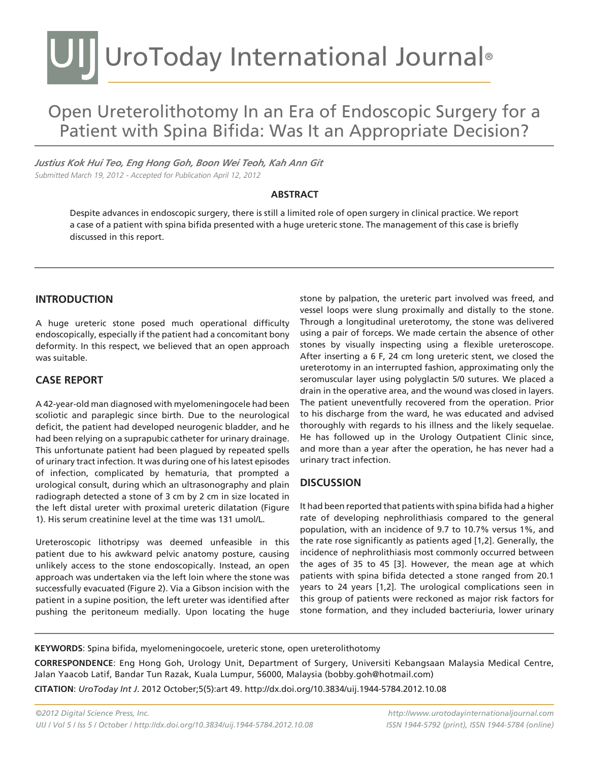# UIJ UroToday International Journal®

# Open Ureterolithotomy In an Era of Endoscopic Surgery for a Patient with Spina Bifida: Was It an Appropriate Decision?

*Justius Kok Hui Teo, Eng Hong Goh, Boon Wei Teoh, Kah Ann Git* Submitted March 19, 2012 - Accepted for Publication April 12, 2012

#### **ABSTRACT**

Despite advances in endoscopic surgery, there is still a limited role of open surgery in clinical practice. We report a case of a patient with spina bifida presented with a huge ureteric stone. The management of this case is briefly discussed in this report.

# **INTRODUCTION**

A huge ureteric stone posed much operational difficulty endoscopically, especially if the patient had a concomitant bony deformity. In this respect, we believed that an open approach was suitable.

# **CASE REPORT**

A 42-year-old man diagnosed with myelomeningocele had been scoliotic and paraplegic since birth. Due to the neurological deficit, the patient had developed neurogenic bladder, and he had been relying on a suprapubic catheter for urinary drainage. This unfortunate patient had been plagued by repeated spells of urinary tract infection. It was during one of his latest episodes of infection, complicated by hematuria, that prompted a urological consult, during which an ultrasonography and plain radiograph detected a stone of 3 cm by 2 cm in size located in the left distal ureter with proximal ureteric dilatation (Figure 1). His serum creatinine level at the time was 131 umol/L.

Ureteroscopic lithotripsy was deemed unfeasible in this patient due to his awkward pelvic anatomy posture, causing unlikely access to the stone endoscopically. Instead, an open approach was undertaken via the left loin where the stone was successfully evacuated (Figure 2). Via a Gibson incision with the patient in a supine position, the left ureter was identified after pushing the peritoneum medially. Upon locating the huge

stone by palpation, the ureteric part involved was freed, and vessel loops were slung proximally and distally to the stone. Through a longitudinal ureterotomy, the stone was delivered using a pair of forceps. We made certain the absence of other stones by visually inspecting using a flexible ureteroscope. After inserting a 6 F, 24 cm long ureteric stent, we closed the ureterotomy in an interrupted fashion, approximating only the seromuscular layer using polyglactin 5/0 sutures. We placed a drain in the operative area, and the wound was closed in layers. The patient uneventfully recovered from the operation. Prior to his discharge from the ward, he was educated and advised thoroughly with regards to his illness and the likely sequelae. He has followed up in the Urology Outpatient Clinic since, and more than a year after the operation, he has never had a urinary tract infection.

#### **DISCUSSION**

It had been reported that patients with spina bifida had a higher rate of developing nephrolithiasis compared to the general population, with an incidence of 9.7 to 10.7% versus 1%, and the rate rose significantly as patients aged [1,2]. Generally, the incidence of nephrolithiasis most commonly occurred between the ages of 35 to 45 [3]. However, the mean age at which patients with spina bifida detected a stone ranged from 20.1 years to 24 years [1,2]. The urological complications seen in this group of patients were reckoned as major risk factors for stone formation, and they included bacteriuria, lower urinary

**KEYWORDS**: Spina bifida, myelomeningocoele, ureteric stone, open ureterolithotomy

**CORRESPONDENCE**: Eng Hong Goh, Urology Unit, Department of Surgery, Universiti Kebangsaan Malaysia Medical Centre, Jalan Yaacob Latif, Bandar Tun Razak, Kuala Lumpur, 56000, Malaysia (bobby.goh@hotmail.com) **CITATION**: *UroToday Int J*. 2012 October;5(5):art 49. http://dx.doi.org/10.3834/uij.1944-5784.2012.10.08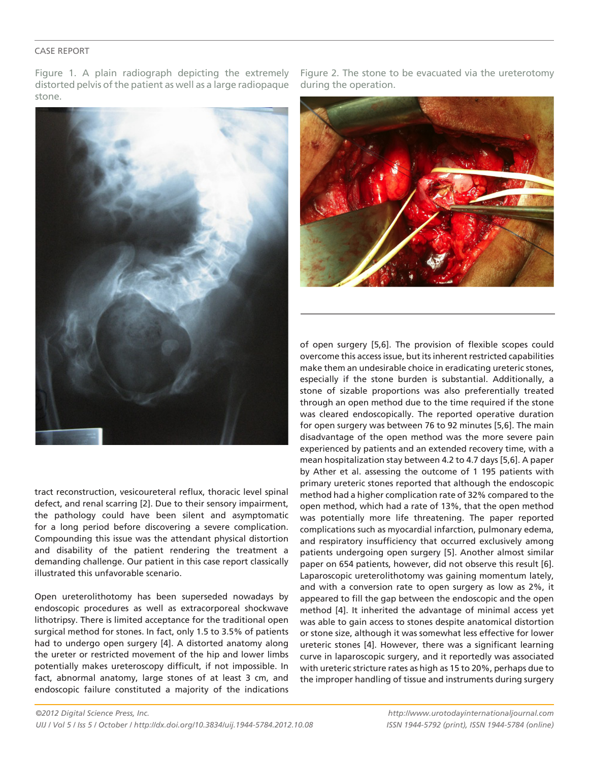#### CASE REPORT

Figure 1. A plain radiograph depicting the extremely distorted pelvis of the patient as well as a large radiopaque stone.



tract reconstruction, vesicoureteral reflux, thoracic level spinal defect, and renal scarring [2]. Due to their sensory impairment, the pathology could have been silent and asymptomatic for a long period before discovering a severe complication. Compounding this issue was the attendant physical distortion and disability of the patient rendering the treatment a demanding challenge. Our patient in this case report classically illustrated this unfavorable scenario.

Open ureterolithotomy has been superseded nowadays by endoscopic procedures as well as extracorporeal shockwave lithotripsy. There is limited acceptance for the traditional open surgical method for stones. In fact, only 1.5 to 3.5% of patients had to undergo open surgery [4]. A distorted anatomy along the ureter or restricted movement of the hip and lower limbs potentially makes ureteroscopy difficult, if not impossible. In fact, abnormal anatomy, large stones of at least 3 cm, and endoscopic failure constituted a majority of the indications

Figure 2. The stone to be evacuated via the ureterotomy during the operation.



of open surgery [5,6]. The provision of flexible scopes could overcome this access issue, but its inherent restricted capabilities make them an undesirable choice in eradicating ureteric stones, especially if the stone burden is substantial. Additionally, a stone of sizable proportions was also preferentially treated through an open method due to the time required if the stone was cleared endoscopically. The reported operative duration for open surgery was between 76 to 92 minutes [5,6]. The main disadvantage of the open method was the more severe pain experienced by patients and an extended recovery time, with a mean hospitalization stay between 4.2 to 4.7 days [5,6]. A paper by Ather et al. assessing the outcome of 1 195 patients with primary ureteric stones reported that although the endoscopic method had a higher complication rate of 32% compared to the open method, which had a rate of 13%, that the open method was potentially more life threatening. The paper reported complications such as myocardial infarction, pulmonary edema, and respiratory insufficiency that occurred exclusively among patients undergoing open surgery [5]. Another almost similar paper on 654 patients, however, did not observe this result [6]. Laparoscopic ureterolithotomy was gaining momentum lately, and with a conversion rate to open surgery as low as 2%, it appeared to fill the gap between the endoscopic and the open method [4]. It inherited the advantage of minimal access yet was able to gain access to stones despite anatomical distortion or stone size, although it was somewhat less effective for lower ureteric stones [4]. However, there was a significant learning curve in laparoscopic surgery, and it reportedly was associated with ureteric stricture rates as high as 15 to 20%, perhaps due to the improper handling of tissue and instruments during surgery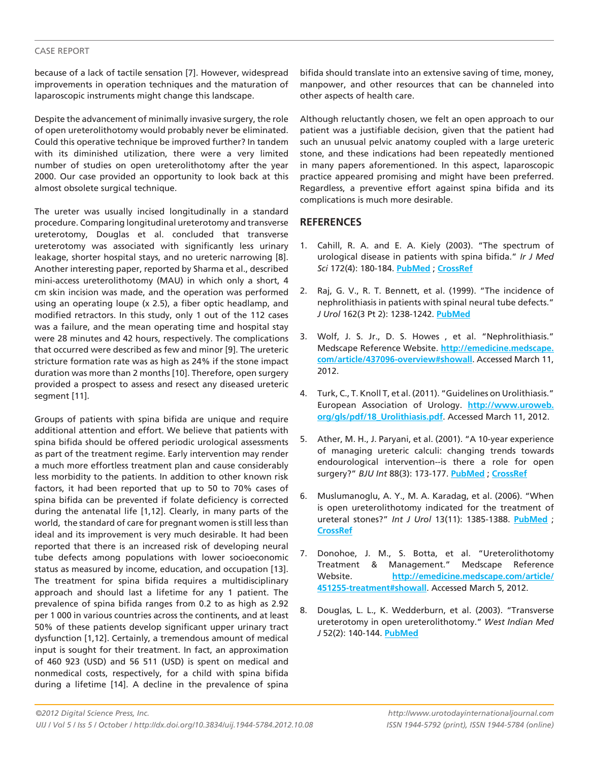#### CASE REPORT

because of a lack of tactile sensation [7]. However, widespread improvements in operation techniques and the maturation of laparoscopic instruments might change this landscape.

Despite the advancement of minimally invasive surgery, the role of open ureterolithotomy would probably never be eliminated. Could this operative technique be improved further? In tandem with its diminished utilization, there were a very limited number of studies on open ureterolithotomy after the year 2000. Our case provided an opportunity to look back at this almost obsolete surgical technique.

The ureter was usually incised longitudinally in a standard procedure. Comparing longitudinal ureterotomy and transverse ureterotomy, Douglas et al. concluded that transverse ureterotomy was associated with significantly less urinary leakage, shorter hospital stays, and no ureteric narrowing [8]. Another interesting paper, reported by Sharma et al., described mini-access ureterolithotomy (MAU) in which only a short, 4 cm skin incision was made, and the operation was performed using an operating loupe (x 2.5), a fiber optic headlamp, and modified retractors. In this study, only 1 out of the 112 cases was a failure, and the mean operating time and hospital stay were 28 minutes and 42 hours, respectively. The complications that occurred were described as few and minor [9]. The ureteric stricture formation rate was as high as 24% if the stone impact duration was more than 2 months [10]. Therefore, open surgery provided a prospect to assess and resect any diseased ureteric segment [11].

Groups of patients with spina bifida are unique and require additional attention and effort. We believe that patients with spina bifida should be offered periodic urological assessments as part of the treatment regime. Early intervention may render a much more effortless treatment plan and cause considerably less morbidity to the patients. In addition to other known risk factors, it had been reported that up to 50 to 70% cases of spina bifida can be prevented if folate deficiency is corrected during the antenatal life [1,12]. Clearly, in many parts of the world, the standard of care for pregnant women is still less than ideal and its improvement is very much desirable. It had been reported that there is an increased risk of developing neural tube defects among populations with lower socioeconomic status as measured by income, education, and occupation [13]. The treatment for spina bifida requires a multidisciplinary approach and should last a lifetime for any 1 patient. The prevalence of spina bifida ranges from 0.2 to as high as 2.92 per 1 000 in various countries across the continents, and at least 50% of these patients develop significant upper urinary tract dysfunction [1,12]. Certainly, a tremendous amount of medical input is sought for their treatment. In fact, an approximation of 460 923 (USD) and 56 511 (USD) is spent on medical and nonmedical costs, respectively, for a child with spina bifida during a lifetime [14]. A decline in the prevalence of spina

bifida should translate into an extensive saving of time, money, manpower, and other resources that can be channeled into other aspects of health care.

Although reluctantly chosen, we felt an open approach to our patient was a justifiable decision, given that the patient had such an unusual pelvic anatomy coupled with a large ureteric stone, and these indications had been repeatedly mentioned in many papers aforementioned. In this aspect, laparoscopic practice appeared promising and might have been preferred. Regardless, a preventive effort against spina bifida and its complications is much more desirable.

# **REFERENCES**

- 1. Cahill, R. A. and E. A. Kiely (2003). "The spectrum of urological disease in patients with spina bifida." *Ir J Med Sci* 172(4): 180-184. **PubMed** ; **CrossRef**
- 2. Raj, G. V., R. T. Bennett, et al. (1999). "The incidence of nephrolithiasis in patients with spinal neural tube defects." *J Urol* 162(3 Pt 2): 1238-1242. **PubMed**
- 3. Wolf, J. S. Jr., D. S. Howes , et al. "Nephrolithiasis." Medscape Reference Website. **http://emedicine.medscape. com/article/437096-overview#showall**. Accessed March 11, 2012.
- 4. Turk, C., T. Knoll T, et al. (2011). "Guidelines on Urolithiasis." European Association of Urology. **http://www.uroweb. org/gls/pdf/18\_Urolithiasis.pdf**. Accessed March 11, 2012.
- 5. Ather, M. H., J. Paryani, et al. (2001). "A 10-year experience of managing ureteric calculi: changing trends towards endourological intervention--is there a role for open surgery?" *BJU Int* 88(3): 173-177. **PubMed** ; **CrossRef**
- 6. Muslumanoglu, A. Y., M. A. Karadag, et al. (2006). "When is open ureterolithotomy indicated for the treatment of ureteral stones?" *Int J Urol* 13(11): 1385-1388. **PubMed** ; **CrossRef**
- 7. Donohoe, J. M., S. Botta, et al. "Ureterolithotomy Treatment & Management." Medscape Reference Website. **http://emedicine.medscape.com/article/ 451255-treatment#showall**. Accessed March 5, 2012.
- 8. Douglas, L. L., K. Wedderburn, et al. (2003). "Transverse ureterotomy in open ureterolithotomy." *West Indian Med J* 52(2): 140-144. **PubMed**